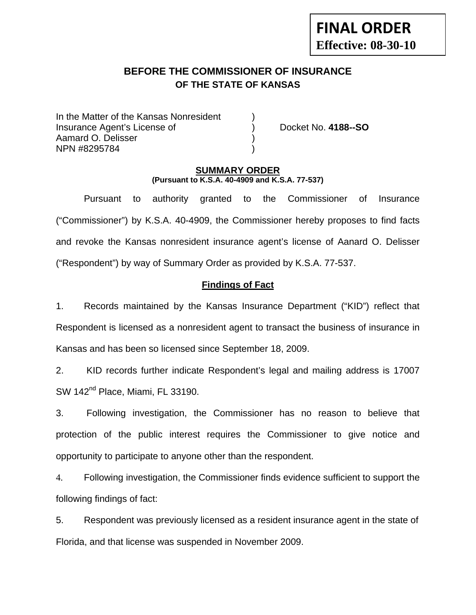# **BEFORE THE COMMISSIONER OF INSURANCE OF THE STATE OF KANSAS**

In the Matter of the Kansas Nonresident Insurance Agent's License of ) Docket No. **4188--SO** Aamard O. Delisser ) NPN #8295784 )

#### **SUMMARY ORDER (Pursuant to K.S.A. 40-4909 and K.S.A. 77-537)**

 Pursuant to authority granted to the Commissioner of Insurance ("Commissioner") by K.S.A. 40-4909, the Commissioner hereby proposes to find facts and revoke the Kansas nonresident insurance agent's license of Aanard O. Delisser ("Respondent") by way of Summary Order as provided by K.S.A. 77-537.

## **Findings of Fact**

1. Records maintained by the Kansas Insurance Department ("KID") reflect that Respondent is licensed as a nonresident agent to transact the business of insurance in Kansas and has been so licensed since September 18, 2009.

2. KID records further indicate Respondent's legal and mailing address is 17007 SW 142<sup>nd</sup> Place, Miami, FL 33190.

3. Following investigation, the Commissioner has no reason to believe that protection of the public interest requires the Commissioner to give notice and opportunity to participate to anyone other than the respondent.

4. Following investigation, the Commissioner finds evidence sufficient to support the following findings of fact:

5. Respondent was previously licensed as a resident insurance agent in the state of Florida, and that license was suspended in November 2009.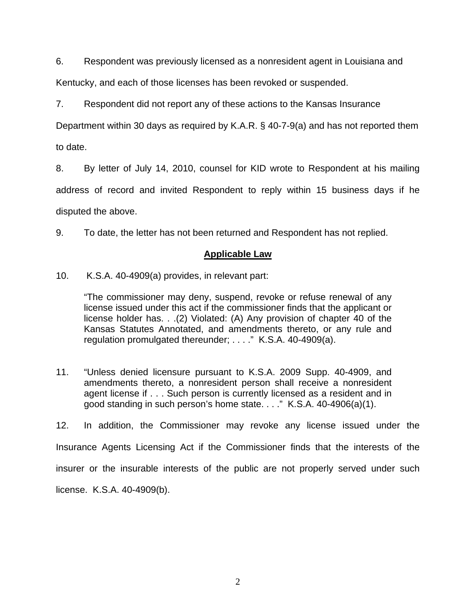6. Respondent was previously licensed as a nonresident agent in Louisiana and

Kentucky, and each of those licenses has been revoked or suspended.

7. Respondent did not report any of these actions to the Kansas Insurance

Department within 30 days as required by K.A.R. § 40-7-9(a) and has not reported them to date.

8. By letter of July 14, 2010, counsel for KID wrote to Respondent at his mailing

address of record and invited Respondent to reply within 15 business days if he

disputed the above.

9. To date, the letter has not been returned and Respondent has not replied.

#### **Applicable Law**

10. K.S.A. 40-4909(a) provides, in relevant part:

"The commissioner may deny, suspend, revoke or refuse renewal of any license issued under this act if the commissioner finds that the applicant or license holder has. . .(2) Violated: (A) Any provision of chapter 40 of the Kansas Statutes Annotated, and amendments thereto, or any rule and regulation promulgated thereunder; . . . ." K.S.A. 40-4909(a).

11. "Unless denied licensure pursuant to K.S.A. 2009 Supp. 40-4909, and amendments thereto, a nonresident person shall receive a nonresident agent license if . . . Such person is currently licensed as a resident and in good standing in such person's home state. . . ." K.S.A. 40-4906(a)(1).

12. In addition, the Commissioner may revoke any license issued under the Insurance Agents Licensing Act if the Commissioner finds that the interests of the insurer or the insurable interests of the public are not properly served under such license. K.S.A. 40-4909(b).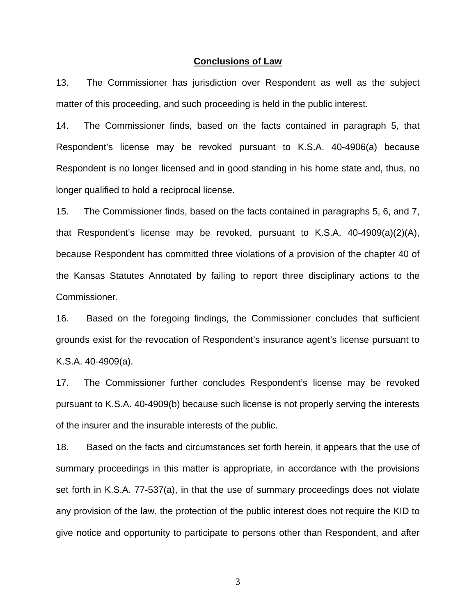#### **Conclusions of Law**

13. The Commissioner has jurisdiction over Respondent as well as the subject matter of this proceeding, and such proceeding is held in the public interest.

14. The Commissioner finds, based on the facts contained in paragraph 5, that Respondent's license may be revoked pursuant to K.S.A. 40-4906(a) because Respondent is no longer licensed and in good standing in his home state and, thus, no longer qualified to hold a reciprocal license.

15. The Commissioner finds, based on the facts contained in paragraphs 5, 6, and 7, that Respondent's license may be revoked, pursuant to K.S.A. 40-4909(a)(2)(A), because Respondent has committed three violations of a provision of the chapter 40 of the Kansas Statutes Annotated by failing to report three disciplinary actions to the Commissioner.

16. Based on the foregoing findings, the Commissioner concludes that sufficient grounds exist for the revocation of Respondent's insurance agent's license pursuant to K.S.A. 40-4909(a).

17. The Commissioner further concludes Respondent's license may be revoked pursuant to K.S.A. 40-4909(b) because such license is not properly serving the interests of the insurer and the insurable interests of the public.

18. Based on the facts and circumstances set forth herein, it appears that the use of summary proceedings in this matter is appropriate, in accordance with the provisions set forth in K.S.A. 77-537(a), in that the use of summary proceedings does not violate any provision of the law, the protection of the public interest does not require the KID to give notice and opportunity to participate to persons other than Respondent, and after

3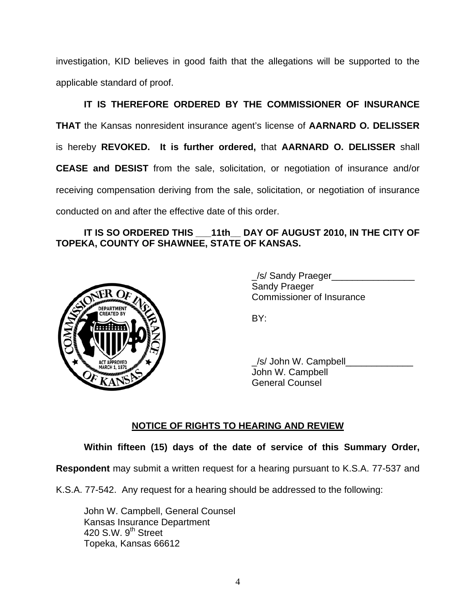investigation, KID believes in good faith that the allegations will be supported to the applicable standard of proof.

 **IT IS THEREFORE ORDERED BY THE COMMISSIONER OF INSURANCE THAT** the Kansas nonresident insurance agent's license of **AARNARD O. DELISSER** is hereby **REVOKED. It is further ordered,** that **AARNARD O. DELISSER** shall **CEASE and DESIST** from the sale, solicitation, or negotiation of insurance and/or receiving compensation deriving from the sale, solicitation, or negotiation of insurance conducted on and after the effective date of this order.

## **IT IS SO ORDERED THIS \_\_\_11th\_\_ DAY OF AUGUST 2010, IN THE CITY OF TOPEKA, COUNTY OF SHAWNEE, STATE OF KANSAS.**



/s/ Sandy Praeger Sandy Praeger Commissioner of Insurance

/s/ John W. Campbell John W. Campbell General Counsel

## **NOTICE OF RIGHTS TO HEARING AND REVIEW**

**Within fifteen (15) days of the date of service of this Summary Order,** 

**Respondent** may submit a written request for a hearing pursuant to K.S.A. 77-537 and

K.S.A. 77-542. Any request for a hearing should be addressed to the following:

 John W. Campbell, General Counsel Kansas Insurance Department 420 S.W.  $9<sup>th</sup>$  Street Topeka, Kansas 66612